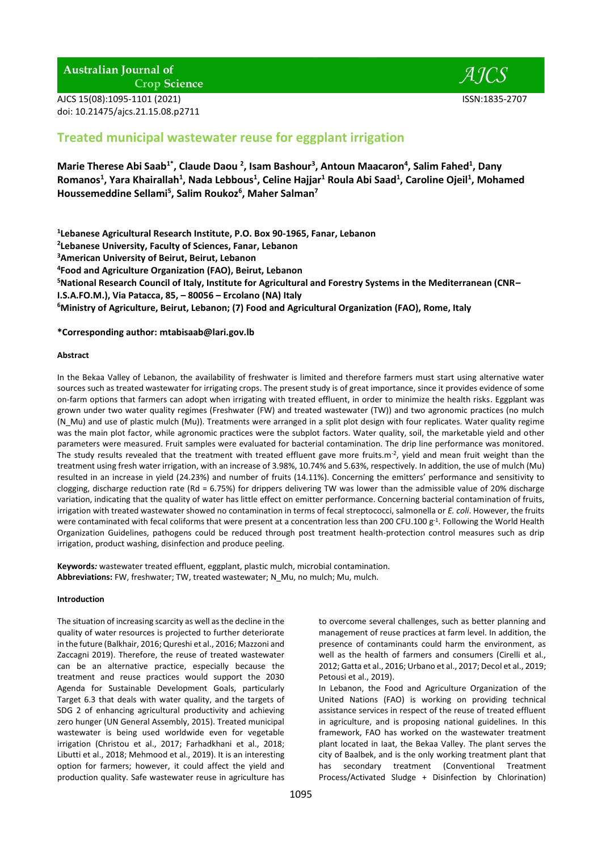## **Australian Journal of**

**Crop Science** 

AJCS 15(08):1095-1101 (2021) ISSN:1835-2707 doi: 10.21475/ajcs.21.15.08.p2711



# **Treated municipal wastewater reuse for eggplant irrigation**

**Marie Therese Abi Saab1\* , Claude Daou <sup>2</sup> , Isam Bashour<sup>3</sup> , Antoun Maacaron<sup>4</sup> , Salim Fahed<sup>1</sup> , Dany Romanos<sup>1</sup> , Yara Khairallah<sup>1</sup> , Nada Lebbous<sup>1</sup> , Celine Hajjar<sup>1</sup> Roula Abi Saad<sup>1</sup> , Caroline Ojeil<sup>1</sup> , Mohamed Houssemeddine Sellami<sup>5</sup> , Salim Roukoz<sup>6</sup> , Maher Salman<sup>7</sup>**

**1 Lebanese Agricultural Research Institute, P.O. Box 90-1965, Fanar, Lebanon**

**2 Lebanese University, Faculty of Sciences, Fanar, Lebanon**

**<sup>3</sup>American University of Beirut, Beirut, Lebanon**

**4 Food and Agriculture Organization (FAO), Beirut, Lebanon**

**<sup>5</sup>National Research Council of Italy, Institute for Agricultural and Forestry Systems in the Mediterranean (CNR–**

**I.S.A.FO.M.), Via Patacca, 85, – 80056 – Ercolano (NA) Italy**

**<sup>6</sup>Ministry of Agriculture, Beirut, Lebanon; (7) Food and Agricultural Organization (FAO), Rome, Italy**

## **\*Corresponding author: [mtabisaab@lari.gov.lb](mailto:mtabisaab@lari.gov.lb)**

## **Abstract**

In the Bekaa Valley of Lebanon, the availability of freshwater is limited and therefore farmers must start using alternative water sources such as treated wastewater for irrigating crops. The present study is of great importance, since it provides evidence of some on-farm options that farmers can adopt when irrigating with treated effluent, in order to minimize the health risks. Eggplant was grown under two water quality regimes (Freshwater (FW) and treated wastewater (TW)) and two agronomic practices (no mulch (N\_Mu) and use of plastic mulch (Mu)). Treatments were arranged in a split plot design with four replicates. Water quality regime was the main plot factor, while agronomic practices were the subplot factors. Water quality, soil, the marketable yield and other parameters were measured. Fruit samples were evaluated for bacterial contamination. The drip line performance was monitored. The study results revealed that the treatment with treated effluent gave more fruits.m<sup>-2</sup>, yield and mean fruit weight than the treatment using fresh water irrigation, with an increase of 3.98%, 10.74% and 5.63%, respectively. In addition, the use of mulch (Mu) resulted in an increase in yield (24.23%) and number of fruits (14.11%). Concerning the emitters' performance and sensitivity to clogging, discharge reduction rate (Rd = 6.75%) for drippers delivering TW was lower than the admissible value of 20% discharge variation, indicating that the quality of water has little effect on emitter performance. Concerning bacterial contamination of fruits, irrigation with treated wastewater showed no contamination in terms of fecal streptococci, salmonella or *E. coli*. However, the fruits were contaminated with fecal coliforms that were present at a concentration less than 200 CFU.100  $g^{-1}$ . Following the World Health Organization Guidelines, pathogens could be reduced through post treatment health-protection control measures such as drip irrigation, product washing, disinfection and produce peeling.

**Keywords***:* wastewater treated effluent, eggplant, plastic mulch, microbial contamination. **Abbreviations:** FW, freshwater; TW, treated wastewater; N\_Mu, no mulch; Mu, mulch.

## **Introduction**

The situation of increasing scarcity as well as the decline in the quality of water resources is projected to further deteriorate in the future (Balkhair, 2016; Qureshi et al., 2016; Mazzoni and Zaccagni 2019). Therefore, the reuse of treated wastewater can be an alternative practice, especially because the treatment and reuse practices would support the 2030 Agenda for Sustainable Development Goals, particularly Target 6.3 that deals with water quality, and the targets of SDG 2 of enhancing agricultural productivity and achieving zero hunger (UN General Assembly, 2015). Treated municipal wastewater is being used worldwide even for vegetable irrigation (Christou et al., 2017; Farhadkhani et al., 2018; Libutti et al., 2018; Mehmood et al., 2019). It is an interesting option for farmers; however, it could affect the yield and production quality. Safe wastewater reuse in agriculture has

to overcome several challenges, such as better planning and management of reuse practices at farm level. In addition, the presence of contaminants could harm the environment, as well as the health of farmers and consumers (Cirelli et al., 2012; Gatta et al., 2016; Urbano et al., 2017; Decol et al., 2019; Petousi et al., 2019).

In Lebanon, the Food and Agriculture Organization of the United Nations (FAO) is working on providing technical assistance services in respect of the reuse of treated effluent in agriculture, and is proposing national guidelines. In this framework, FAO has worked on the wastewater treatment plant located in Iaat, the Bekaa Valley. The plant serves the city of Baalbek, and is the only working treatment plant that has secondary treatment (Conventional Treatment Process/Activated Sludge + Disinfection by Chlorination)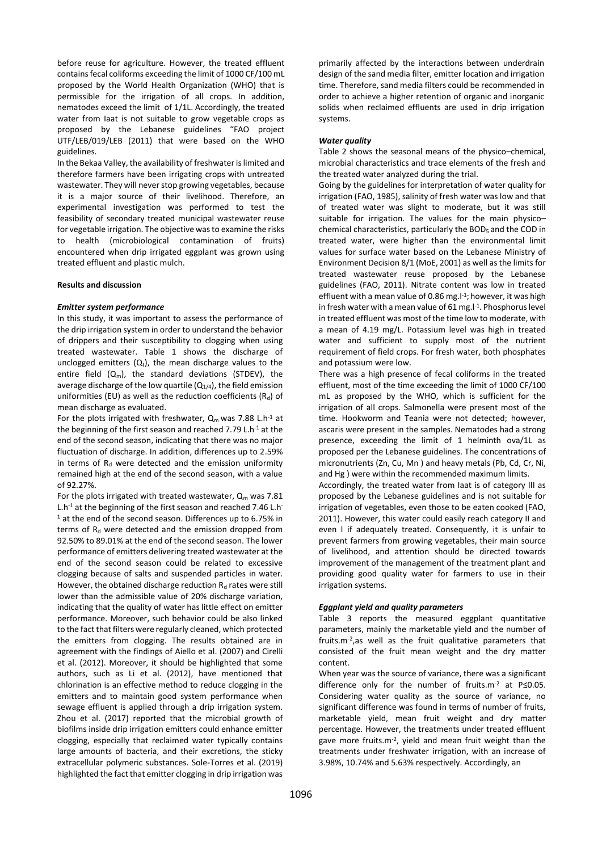before reuse for agriculture. However, the treated effluent contains fecal coliforms exceeding the limit of 1000 CF/100 mL proposed by the World Health Organization (WHO) that is permissible for the irrigation of all crops. In addition, nematodes exceed the limit of 1/1L. Accordingly, the treated water from Iaat is not suitable to grow vegetable crops as proposed by the Lebanese guidelines "FAO project UTF/LEB/019/LEB (2011) that were based on the WHO guidelines.

In the Bekaa Valley, the availability of freshwater is limited and therefore farmers have been irrigating crops with untreated wastewater. They will never stop growing vegetables, because it is a major source of their livelihood. Therefore, an experimental investigation was performed to test the feasibility of secondary treated municipal wastewater reuse for vegetable irrigation. The objective was to examine the risks to health (microbiological contamination of fruits) encountered when drip irrigated eggplant was grown using treated effluent and plastic mulch.

#### **Results and discussion**

#### *Emitter system performance*

In this study, it was important to assess the performance of the drip irrigation system in order to understand the behavior of drippers and their susceptibility to clogging when using treated wastewater. Table 1 shows the discharge of unclogged emitters  $(Q_t)$ , the mean discharge values to the entire field  $(Q_m)$ , the standard deviations (STDEV), the average discharge of the low quartile  $(Q_{1/4})$ , the field emission uniformities (EU) as well as the reduction coefficients ( $R_d$ ) of mean discharge as evaluated.

For the plots irrigated with freshwater,  $Q_m$  was 7.88 L.h<sup>-1</sup> at the beginning of the first season and reached 7.79 L.h-1 at the end of the second season, indicating that there was no major fluctuation of discharge. In addition, differences up to 2.59% in terms of  $R_d$  were detected and the emission uniformity remained high at the end of the second season, with a value of 92.27%.

For the plots irrigated with treated wastewater,  $Q_m$  was 7.81 L.h<sup>-1</sup> at the beginning of the first season and reached 7.46 L.h<sup>-</sup> <sup>1</sup> at the end of the second season. Differences up to 6.75% in terms of  $R<sub>d</sub>$  were detected and the emission dropped from 92.50% to 89.01% at the end of the second season. The lower performance of emitters delivering treated wastewater at the end of the second season could be related to excessive clogging because of salts and suspended particles in water. However, the obtained discharge reduction  $R_d$  rates were still lower than the admissible value of 20% discharge variation, indicating that the quality of water has little effect on emitter performance. Moreover, such behavior could be also linked to the fact that filters were regularly cleaned, which protected the emitters from clogging. The results obtained are in agreement with the findings of Aiello et al. (2007) and Cirelli et al. (2012). Moreover, it should be highlighted that some authors, such as Li et al. (2012), have mentioned that chlorination is an effective method to reduce clogging in the emitters and to maintain good system performance when sewage effluent is applied through a drip irrigation system. Zhou et al. (2017) reported that the microbial growth of biofilms inside drip irrigation emitters could enhance emitter clogging, especially that reclaimed water typically contains large amounts of bacteria, and their excretions, the sticky extracellular polymeric substances. Sole-Torres et al. (2019) highlighted the fact that emitter clogging in drip irrigation was

primarily affected by the interactions between underdrain design of the sand media filter, emitter location and irrigation time. Therefore, sand media filters could be recommended in order to achieve a higher retention of organic and inorganic solids when reclaimed effluents are used in drip irrigation systems.

#### *Water quality*

Table 2 shows the seasonal means of the physico–chemical, microbial characteristics and trace elements of the fresh and the treated water analyzed during the trial.

Going by the guidelines for interpretation of water quality for irrigation (FAO, 1985), salinity of fresh water was low and that of treated water was slight to moderate, but it was still suitable for irrigation. The values for the main physico– chemical characteristics, particularly the BOD<sub>5</sub> and the COD in treated water, were higher than the environmental limit values for surface water based on the Lebanese Ministry of Environment Decision 8/1 (MoE, 2001) as well as the limits for treated wastewater reuse proposed by the Lebanese guidelines (FAO, 2011). Nitrate content was low in treated effluent with a mean value of 0.86 mg. I<sup>-1</sup>; however, it was high in fresh water with a mean value of 61 mg. l<sup>-1</sup>. Phosphorus level in treated effluent was most of the time low to moderate, with a mean of 4.19 mg/L. Potassium level was high in treated water and sufficient to supply most of the nutrient requirement of field crops. For fresh water, both phosphates and potassium were low.

There was a high presence of fecal coliforms in the treated effluent, most of the time exceeding the limit of 1000 CF/100 mL as proposed by the WHO, which is sufficient for the irrigation of all crops. Salmonella were present most of the time. Hookworm and Teania were not detected; however, ascaris were present in the samples. Nematodes had a strong presence, exceeding the limit of 1 helminth ova/1L as proposed per the Lebanese guidelines. The concentrations of micronutrients (Zn, Cu, Mn ) and heavy metals (Pb, Cd, Cr, Ni, and Hg ) were within the recommended maximum limits.

Accordingly, the treated water from Iaat is of category III as proposed by the Lebanese guidelines and is not suitable for irrigation of vegetables, even those to be eaten cooked (FAO, 2011). However, this water could easily reach category II and even I if adequately treated. Consequently, it is unfair to prevent farmers from growing vegetables, their main source of livelihood, and attention should be directed towards improvement of the management of the treatment plant and providing good quality water for farmers to use in their irrigation systems.

## *Eggplant yield and quality parameters*

Table 3 reports the measured eggplant quantitative parameters, mainly the marketable yield and the number of fruits.m-2 ,as well as the fruit qualitative parameters that consisted of the fruit mean weight and the dry matter content.

When year was the source of variance, there was a significant difference only for the number of fruits.m-2 at P≤0.05. Considering water quality as the source of variance, no significant difference was found in terms of number of fruits, marketable yield, mean fruit weight and dry matter percentage. However, the treatments under treated effluent gave more fruits.m-2 , yield and mean fruit weight than the treatments under freshwater irrigation, with an increase of 3.98%, 10.74% and 5.63% respectively. Accordingly, an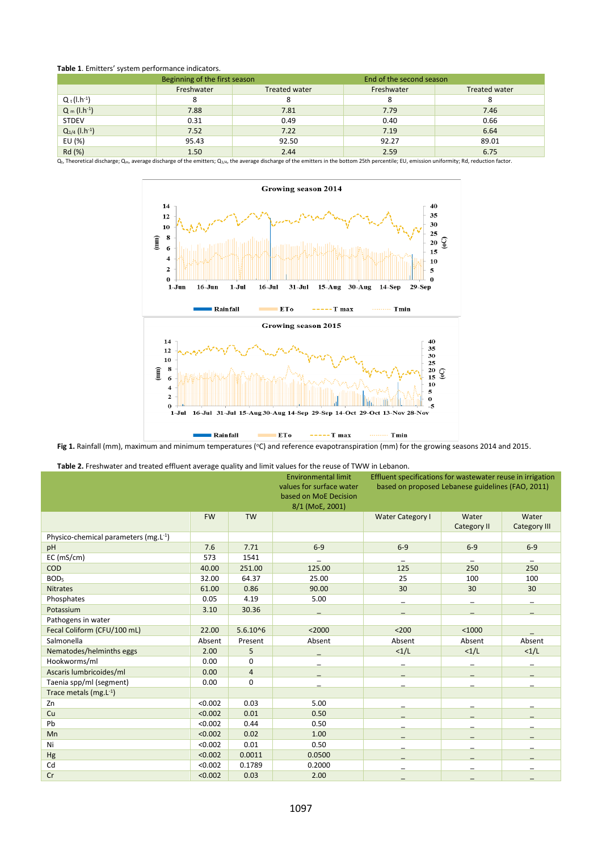## **Table 1**. Emitters' system performance indicators.

|                                                                                                                                                                                                           | Beginning of the first season |                      | End of the second season |                      |  |
|-----------------------------------------------------------------------------------------------------------------------------------------------------------------------------------------------------------|-------------------------------|----------------------|--------------------------|----------------------|--|
|                                                                                                                                                                                                           | Freshwater                    | <b>Treated water</b> | Freshwater               | <b>Treated water</b> |  |
| $Q_t (l.h^{-1})$                                                                                                                                                                                          | 8                             | 8                    |                          |                      |  |
| $Q_m (l.h^{-1})$                                                                                                                                                                                          | 7.88                          | 7.81                 | 7.79                     | 7.46                 |  |
| <b>STDEV</b>                                                                                                                                                                                              | 0.31                          | 0.49                 | 0.40                     | 0.66                 |  |
| $Q_{1/4}$ (l.h <sup>-1</sup> )                                                                                                                                                                            | 7.52                          | 7.22                 | 7.19                     | 6.64                 |  |
| EU (%)                                                                                                                                                                                                    | 95.43                         | 92.50                | 92.27                    | 89.01                |  |
| Rd (%)                                                                                                                                                                                                    | 1.50                          | 2.44                 | 2.59                     | 6.75                 |  |
| $Q_t$ , Theoretical discharge; $Q_m$ , average discharge of the emitters; $Q_{1/4}$ , the average discharge of the emitters in the bottom 25th percentile; EU, emission uniformity; Rd, reduction factor. |                               |                      |                          |                      |  |



Fig 1. Rainfall (mm), maximum and minimum temperatures (°C) and reference evapotranspiration (mm) for the growing seasons 2014 and 2015.

**Table 2.** Freshwater and treated effluent average quality and limit values for the reuse of TWW in Lebanon.

|                                      |           | <b>Environmental limit</b><br>values for surface water<br>based on MoE Decision<br>8/1 (MoE, 2001) | Effluent specifications for wastewater reuse in irrigation<br>based on proposed Lebanese guidelines (FAO, 2011) |                         |                      |                              |
|--------------------------------------|-----------|----------------------------------------------------------------------------------------------------|-----------------------------------------------------------------------------------------------------------------|-------------------------|----------------------|------------------------------|
|                                      | <b>FW</b> | <b>TW</b>                                                                                          |                                                                                                                 | <b>Water Category I</b> | Water<br>Category II | Water<br><b>Category III</b> |
| Physico-chemical parameters (mg.L-1) |           |                                                                                                    |                                                                                                                 |                         |                      |                              |
| pH                                   | 7.6       | 7.71                                                                                               | $6-9$                                                                                                           | $6-9$                   | $6-9$                | $6-9$                        |
| EC (mS/cm)                           | 573       | 1541                                                                                               |                                                                                                                 |                         |                      |                              |
| COD                                  | 40.00     | 251.00                                                                                             | 125.00                                                                                                          | 125                     | 250                  | 250                          |
| BOD <sub>5</sub>                     | 32.00     | 64.37                                                                                              | 25.00                                                                                                           | 25                      | 100                  | 100                          |
| <b>Nitrates</b>                      | 61.00     | 0.86                                                                                               | 90.00                                                                                                           | 30                      | 30                   | 30                           |
| Phosphates                           | 0.05      | 4.19                                                                                               | 5.00                                                                                                            |                         |                      |                              |
| Potassium                            | 3.10      | 30.36                                                                                              |                                                                                                                 |                         |                      |                              |
| Pathogens in water                   |           |                                                                                                    |                                                                                                                 |                         |                      |                              |
| Fecal Coliform (CFU/100 mL)          | 22.00     | $5.6.10^{6}$                                                                                       | $2000$                                                                                                          | $200$                   | < 1000               |                              |
| Salmonella                           | Absent    | Present                                                                                            | Absent                                                                                                          | Absent                  | Absent               | Absent                       |
| Nematodes/helminths eggs             | 2.00      | 5                                                                                                  |                                                                                                                 | <1/L                    | <1/L                 | <1/L                         |
| Hookworms/ml                         | 0.00      | 0                                                                                                  |                                                                                                                 |                         |                      |                              |
| Ascaris lumbricoides/ml              | 0.00      | $\overline{4}$                                                                                     |                                                                                                                 |                         |                      |                              |
| Taenia spp/ml (segment)              | 0.00      | 0                                                                                                  |                                                                                                                 |                         |                      |                              |
| Trace metals (mg.L-1)                |           |                                                                                                    |                                                                                                                 |                         |                      |                              |
| Zn                                   | < 0.002   | 0.03                                                                                               | 5.00                                                                                                            |                         |                      |                              |
| Cu                                   | < 0.002   | 0.01                                                                                               | 0.50                                                                                                            |                         |                      |                              |
| Pb                                   | < 0.002   | 0.44                                                                                               | 0.50                                                                                                            |                         |                      |                              |
| Mn                                   | < 0.002   | 0.02                                                                                               | 1.00                                                                                                            |                         |                      |                              |
| Ni                                   | < 0.002   | 0.01                                                                                               | 0.50                                                                                                            |                         |                      |                              |
| Hg                                   | < 0.002   | 0.0011                                                                                             | 0.0500                                                                                                          |                         |                      |                              |
| Cd                                   | < 0.002   | 0.1789                                                                                             | 0.2000                                                                                                          |                         |                      |                              |
| Cr                                   | < 0.002   | 0.03                                                                                               | 2.00                                                                                                            |                         |                      |                              |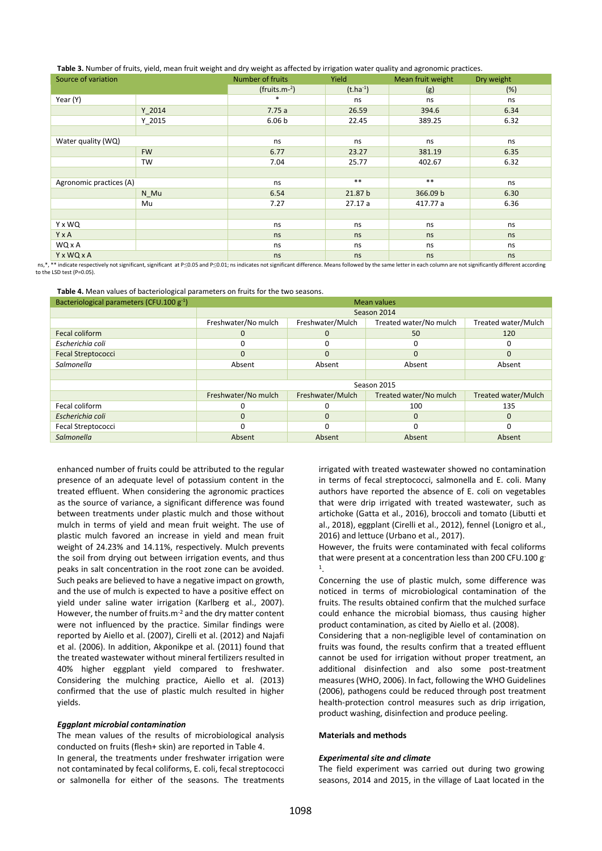|  |  | Table 3. Number of fruits, yield, mean fruit weight and dry weight as affected by irrigation water quality and agronomic practices. |  |
|--|--|-------------------------------------------------------------------------------------------------------------------------------------|--|
|--|--|-------------------------------------------------------------------------------------------------------------------------------------|--|

| .<br>Source of variation |                         | Number of fruits  | Yield         | Mean fruit weight | Dry weight |
|--------------------------|-------------------------|-------------------|---------------|-------------------|------------|
|                          |                         | $(fruits.m-2)$    | $(t.ha^{-1})$ | (g)               | (%)        |
| Year (Y)                 |                         | $*$               | ns            | ns                | ns         |
|                          | Y 2014                  | 7.75a             | 26.59         | 394.6             | 6.34       |
|                          | $Y_2015$                | 6.06 <sub>b</sub> | 22.45         | 389.25            | 6.32       |
|                          |                         |                   |               |                   |            |
| Water quality (WQ)       |                         | ns                | ns            | ns                | ns         |
|                          | <b>FW</b>               | 6.77              | 23.27         | 381.19            | 6.35       |
|                          | TW                      | 7.04              | 25.77         | 402.67            | 6.32       |
|                          |                         |                   |               |                   |            |
|                          | Agronomic practices (A) |                   | $\ast\ast$    | $***$             | ns         |
|                          | N Mu                    | 6.54              | 21.87 b       | 366.09 b          | 6.30       |
|                          | Mu                      | 7.27              | 27.17a        | 417.77 a          | 6.36       |
|                          |                         |                   |               |                   |            |
| Y x WQ                   |                         | ns                | ns            | ns                | ns         |
| Y x A                    |                         | ns                | ns            | ns                | ns         |
| WQ x A                   |                         | ns                | ns            | ns                | ns         |
| <b>YxWQxA</b>            |                         | ns                | ns            | ns                | ns         |

ns.\*. \*\* indicate respectively not significant, significant at P≤0.05 and P≤0.01; ns indicates not significant difference. Means followed by the same letter in each column are not significantly different according to the LSD test (P=0.05).

**Table 4.** Mean values of bacteriological parameters on fruits for the two seasons.

| Bacteriological parameters (CFU.100 g-1) | <b>Mean values</b>  |                  |                        |                     |  |
|------------------------------------------|---------------------|------------------|------------------------|---------------------|--|
|                                          | Season 2014         |                  |                        |                     |  |
|                                          | Freshwater/No mulch | Freshwater/Mulch | Treated water/No mulch | Treated water/Mulch |  |
| Fecal coliform                           | 0                   | O                | 50                     | 120                 |  |
| Escherichia coli                         | O                   |                  | $\Omega$               |                     |  |
| <b>Fecal Streptococci</b>                | $\mathbf 0$         | O                | $\mathbf 0$            | $\Omega$            |  |
| Salmonella                               | Absent              | Absent           | Absent                 | Absent              |  |
|                                          |                     |                  |                        |                     |  |
|                                          | Season 2015         |                  |                        |                     |  |
|                                          | Freshwater/No mulch | Freshwater/Mulch | Treated water/No mulch | Treated water/Mulch |  |
| Fecal coliform                           | C                   |                  | 100                    | 135                 |  |
| Escherichia coli                         | $\mathbf 0$         | O                | $\mathbf 0$            | $\Omega$            |  |
| Fecal Streptococci                       | O                   | $\Omega$         | $\Omega$               | O                   |  |
| Salmonella                               | Absent              | Absent           | Absent                 | Absent              |  |

enhanced number of fruits could be attributed to the regular presence of an adequate level of potassium content in the treated effluent. When considering the agronomic practices as the source of variance, a significant difference was found between treatments under plastic mulch and those without mulch in terms of yield and mean fruit weight. The use of plastic mulch favored an increase in yield and mean fruit weight of 24.23% and 14.11%, respectively. Mulch prevents the soil from drying out between irrigation events, and thus peaks in salt concentration in the root zone can be avoided. Such peaks are believed to have a negative impact on growth, and the use of mulch is expected to have a positive effect on yield under saline water irrigation (Karlberg et al., 2007). However, the number of fruits.m<sup>-2</sup> and the dry matter content were not influenced by the practice. Similar findings were reported by Aiello et al. (2007), Cirelli et al. (2012) and Najafi et al. (2006). In addition, Akponikpe et al. (2011) found that the treated wastewater without mineral fertilizers resulted in 40% higher eggplant yield compared to freshwater. Considering the mulching practice, Aiello et al. (2013) confirmed that the use of plastic mulch resulted in higher yields.

#### *Eggplant microbial contamination*

The mean values of the results of microbiological analysis conducted on fruits (flesh+ skin) are reported in Table 4. In general, the treatments under freshwater irrigation were not contaminated by fecal coliforms, E. coli, fecal streptococci or salmonella for either of the seasons. The treatments irrigated with treated wastewater showed no contamination in terms of fecal streptococci, salmonella and E. coli. Many authors have reported the absence of E. coli on vegetables that were drip irrigated with treated wastewater, such as artichoke (Gatta et al., 2016), broccoli and tomato (Libutti et al., 2018), eggplant (Cirelli et al., 2012), fennel (Lonigro et al., 2016) and lettuce (Urbano et al., 2017).

However, the fruits were contaminated with fecal coliforms that were present at a concentration less than 200 CFU.100 g 1 .

Concerning the use of plastic mulch, some difference was noticed in terms of microbiological contamination of the fruits. The results obtained confirm that the mulched surface could enhance the microbial biomass, thus causing higher product contamination, as cited by Aiello et al. (2008).

Considering that a non-negligible level of contamination on fruits was found, the results confirm that a treated effluent cannot be used for irrigation without proper treatment, an additional disinfection and also some post-treatment measures (WHO, 2006). In fact, following the WHO Guidelines (2006), pathogens could be reduced through post treatment health-protection control measures such as drip irrigation, product washing, disinfection and produce peeling.

#### **Materials and methods**

#### *Experimental site and climate*

The field experiment was carried out during two growing seasons, 2014 and 2015, in the village of Laat located in the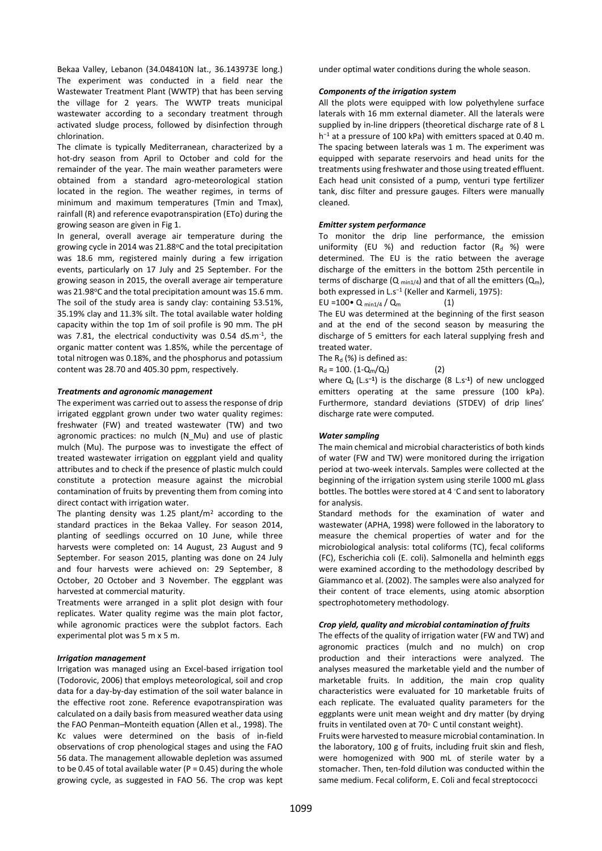Bekaa Valley, Lebanon (34.048410N lat., 36.143973E long.) The experiment was conducted in a field near the Wastewater Treatment Plant (WWTP) that has been serving the village for 2 years. The WWTP treats municipal wastewater according to a secondary treatment through activated sludge process, followed by disinfection through chlorination.

The climate is typically Mediterranean, characterized by a hot-dry season from April to October and cold for the remainder of the year. The main weather parameters were obtained from a standard agro-meteorological station located in the region. The weather regimes, in terms of minimum and maximum temperatures (Tmin and Tmax), rainfall (R) and reference evapotranspiration (ETo) during the growing season are given in Fig 1.

In general, overall average air temperature during the growing cycle in 2014 was 21.88°C and the total precipitation was 18.6 mm, registered mainly during a few irrigation events, particularly on 17 July and 25 September. For the growing season in 2015, the overall average air temperature was 21.98°C and the total precipitation amount was 15.6 mm. The soil of the study area is sandy clay: containing 53.51%, 35.19% clay and 11.3% silt. The total available water holding capacity within the top 1m of soil profile is 90 mm. The pH was 7.81, the electrical conductivity was 0.54 dS.m<sup>-1</sup>, the organic matter content was 1.85%, while the percentage of total nitrogen was 0.18%, and the phosphorus and potassium content was 28.70 and 405.30 ppm, respectively.

#### *Treatments and agronomic management*

The experiment was carried out to assess the response of drip irrigated eggplant grown under two water quality regimes: freshwater (FW) and treated wastewater (TW) and two agronomic practices: no mulch (N\_Mu) and use of plastic mulch (Mu). The purpose was to investigate the effect of treated wastewater irrigation on eggplant yield and quality attributes and to check if the presence of plastic mulch could constitute a protection measure against the microbial contamination of fruits by preventing them from coming into direct contact with irrigation water.

The planting density was 1.25 plant/ $m<sup>2</sup>$  according to the standard practices in the Bekaa Valley. For season 2014, planting of seedlings occurred on 10 June, while three harvests were completed on: 14 August, 23 August and 9 September. For season 2015, planting was done on 24 July and four harvests were achieved on: 29 September, 8 October, 20 October and 3 November. The eggplant was harvested at commercial maturity.

Treatments were arranged in a split plot design with four replicates. Water quality regime was the main plot factor, while agronomic practices were the subplot factors. Each experimental plot was 5 m x 5 m.

#### *Irrigation management*

Irrigation was managed using an Excel-based irrigation tool (Todorovic, 2006) that employs meteorological, soil and crop data for a day-by-day estimation of the soil water balance in the effective root zone. Reference evapotranspiration was calculated on a daily basis from measured weather data using the FAO Penman–Monteith equation (Allen et al., 1998). The Kc values were determined on the basis of in-field observations of crop phenological stages and using the FAO 56 data. The management allowable depletion was assumed to be 0.45 of total available water ( $P = 0.45$ ) during the whole growing cycle, as suggested in FAO 56. The crop was kept

under optimal water conditions during the whole season.

#### *Components of the irrigation system*

All the plots were equipped with low polyethylene surface laterals with 16 mm external diameter. All the laterals were supplied by in-line drippers (theoretical discharge rate of 8 L h<sup>-1</sup> at a pressure of 100 kPa) with emitters spaced at 0.40 m. The spacing between laterals was 1 m. The experiment was equipped with separate reservoirs and head units for the treatments using freshwater and those using treated effluent. Each head unit consisted of a pump, venturi type fertilizer tank, disc filter and pressure gauges. Filters were manually cleaned.

#### *Emitter system performance*

To monitor the drip line performance, the emission uniformity (EU %) and reduction factor  $(R_d, %)$  were determined. The EU is the ratio between the average discharge of the emitters in the bottom 25th percentile in terms of discharge ( $Q_{min1/4}$ ) and that of all the emitters ( $Q_m$ ), both expressed in L.s<sup>−</sup><sup>1</sup> (Keller and Karmeli, 1975): EU =100 $\bullet$  Q min1/4 / Qm (1)

The EU was determined at the beginning of the first season and at the end of the second season by measuring the discharge of 5 emitters for each lateral supplying fresh and treated water.

The  $R_d$  (%) is defined as:

 $R_d = 100. (1 - Q_m/Q_t)$  (2)

where Q<sub>t</sub> (L.s<sup>-1</sup>) is the discharge (8 L.s<sup>-1</sup>) of new unclogged emitters operating at the same pressure (100 kPa). Furthermore, standard deviations (STDEV) of drip lines' discharge rate were computed.

#### *Water sampling*

The main chemical and microbial characteristics of both kinds of water (FW and TW) were monitored during the irrigation period at two-week intervals. Samples were collected at the beginning of the irrigation system using sterile 1000 mL glass bottles. The bottles were stored at 4 ◦C and sent to laboratory for analysis.

Standard methods for the examination of water and wastewater (APHA, 1998) were followed in the laboratory to measure the chemical properties of water and for the microbiological analysis: total coliforms (TC), fecal coliforms (FC), Escherichia coli (E. coli). Salmonella and helminth eggs were examined according to the methodology described by Giammanco et al. (2002). The samples were also analyzed for their content of trace elements, using atomic absorption spectrophotometery methodology.

#### *Crop yield, quality and microbial contamination of fruits*

The effects of the quality of irrigation water (FW and TW) and agronomic practices (mulch and no mulch) on crop production and their interactions were analyzed. The analyses measured the marketable yield and the number of marketable fruits. In addition, the main crop quality characteristics were evaluated for 10 marketable fruits of each replicate. The evaluated quality parameters for the eggplants were unit mean weight and dry matter (by drying fruits in ventilated oven at 70◦ C until constant weight).

Fruits were harvested to measure microbial contamination. In the laboratory, 100 g of fruits, including fruit skin and flesh, were homogenized with 900 mL of sterile water by a stomacher. Then, ten-fold dilution was conducted within the same medium. Fecal coliform, E. Coli and fecal streptococci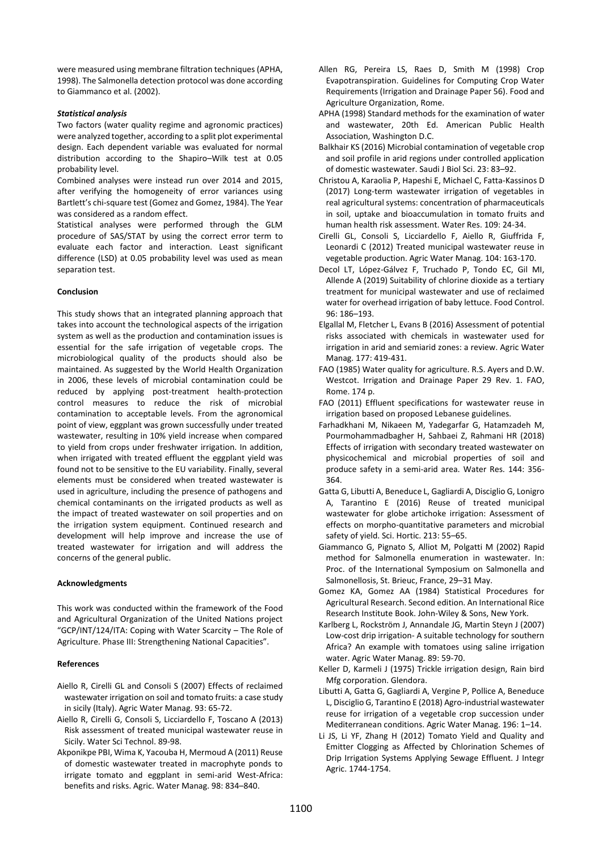were measured using membrane filtration techniques (APHA, 1998). The Salmonella detection protocol was done according to Giammanco et al. (2002).

#### *Statistical analysis*

Two factors (water quality regime and agronomic practices) were analyzed together, according to a split plot experimental design. Each dependent variable was evaluated for normal distribution according to the Shapiro–Wilk test at 0.05 probability level.

Combined analyses were instead run over 2014 and 2015, after verifying the homogeneity of error variances using Bartlett's chi-square test (Gomez and Gomez, 1984). The Year was considered as a random effect.

Statistical analyses were performed through the GLM procedure of SAS/STAT by using the correct error term to evaluate each factor and interaction. Least significant difference (LSD) at 0.05 probability level was used as mean separation test.

## **Conclusion**

This study shows that an integrated planning approach that takes into account the technological aspects of the irrigation system as well as the production and contamination issues is essential for the safe irrigation of vegetable crops. The microbiological quality of the products should also be maintained. As suggested by the World Health Organization in 2006, these levels of microbial contamination could be reduced by applying post-treatment health-protection control measures to reduce the risk of microbial contamination to acceptable levels. From the agronomical point of view, eggplant was grown successfully under treated wastewater, resulting in 10% yield increase when compared to yield from crops under freshwater irrigation. In addition, when irrigated with treated effluent the eggplant yield was found not to be sensitive to the EU variability. Finally, several elements must be considered when treated wastewater is used in agriculture, including the presence of pathogens and chemical contaminants on the irrigated products as well as the impact of treated wastewater on soil properties and on the irrigation system equipment. Continued research and development will help improve and increase the use of treated wastewater for irrigation and will address the concerns of the general public.

#### **Acknowledgments**

This work was conducted within the framework of the Food and Agricultural Organization of the United Nations project "GCP/INT/124/ITA: Coping with Water Scarcity – The Role of Agriculture. Phase III: Strengthening National Capacities".

#### **References**

- Aiello R, Cirelli GL and Consoli S (2007) Effects of reclaimed wastewater irrigation on soil and tomato fruits: a case study in sicily (Italy). Agric Water Manag. 93: 65-72.
- Aiello R, Cirelli G, Consoli S, Licciardello F, Toscano A (2013) Risk assessment of treated municipal wastewater reuse in Sicily. Water Sci Technol. 89-98.
- Akponikpe PBI, Wima K, Yacouba H, Mermoud A (2011) Reuse of domestic wastewater treated in macrophyte ponds to irrigate tomato and eggplant in semi-arid West-Africa: benefits and risks. Agric. Water Manag. 98: 834–840.
- Allen RG, Pereira LS, Raes D, Smith M (1998) Crop Evapotranspiration. Guidelines for Computing Crop Water Requirements (Irrigation and Drainage Paper 56). Food and Agriculture Organization, Rome.
- APHA (1998) Standard methods for the examination of water and wastewater, 20th Ed. American Public Health Association, Washington D.C.
- Balkhair KS (2016) Microbial contamination of vegetable crop and soil profile in arid regions under controlled application of domestic wastewater. Saudi J Biol Sci. 23: 83–92.
- Christou A, Karaolia P, Hapeshi E, Michael C, Fatta-Kassinos D (2017) Long-term wastewater irrigation of vegetables in real agricultural systems: concentration of pharmaceuticals in soil, uptake and bioaccumulation in tomato fruits and human health risk assessment. Water Res. 109: 24-34.
- Cirelli GL, Consoli S, Licciardello F, Aiello R, Giuffrida F, Leonardi C (2012) Treated municipal wastewater reuse in vegetable production. Agric Water Manag. 104: 163-170.
- Decol LT, López-Gálvez F, Truchado P, Tondo EC, Gil MI, Allende A (2019) Suitability of chlorine dioxide as a tertiary treatment for municipal wastewater and use of reclaimed water for overhead irrigation of baby lettuce. Food Control. 96: 186–193.
- Elgallal M, Fletcher L, Evans B (2016) Assessment of potential risks associated with chemicals in wastewater used for irrigation in arid and semiarid zones: a review. Agric Water Manag. 177: 419-431.
- FAO (1985) Water quality for agriculture. R.S. Ayers and D.W. Westcot. Irrigation and Drainage Paper 29 Rev. 1. FAO, Rome. 174 p.
- FAO (2011) Effluent specifications for wastewater reuse in irrigation based on proposed Lebanese guidelines.
- Farhadkhani M, Nikaeen M, Yadegarfar G, Hatamzadeh M, Pourmohammadbagher H, Sahbaei Z, Rahmani HR (2018) Effects of irrigation with secondary treated wastewater on physicochemical and microbial properties of soil and produce safety in a semi-arid area. Water Res. 144: 356- 364.
- Gatta G, Libutti A, Beneduce L, Gagliardi A, Disciglio G, Lonigro A, Tarantino E (2016) Reuse of treated municipal wastewater for globe artichoke irrigation: Assessment of effects on morpho-quantitative parameters and microbial safety of yield. Sci. Hortic. 213: 55–65.
- Giammanco G, Pignato S, Alliot M, Polgatti M (2002) Rapid method for Salmonella enumeration in wastewater. In: Proc. of the International Symposium on Salmonella and Salmonellosis, St. Brieuc, France, 29–31 May.
- Gomez KA, Gomez AA (1984) Statistical Procedures for Agricultural Research. Second edition. An International Rice Research Institute Book. John-Wiley & Sons, New York.
- Karlberg L, Rockstrӧm J, Annandale JG, Martin Steyn J (2007) Low-cost drip irrigation- A suitable technology for southern Africa? An example with tomatoes using saline irrigation water. Agric Water Manag. 89: 59-70.
- Keller D, Karmeli J (1975) Trickle irrigation design, Rain bird Mfg corporation. Glendora.
- Libutti A, Gatta G, Gagliardi A, Vergine P, Pollice A, Beneduce L, Disciglio G, Tarantino E (2018) Agro-industrial wastewater reuse for irrigation of a vegetable crop succession under Mediterranean conditions. Agric Water Manag. 196: 1–14.
- Li JS, Li YF, Zhang H (2012) Tomato Yield and Quality and Emitter Clogging as Affected by Chlorination Schemes of Drip Irrigation Systems Applying Sewage Effluent. J Integr Agric. 1744-1754.